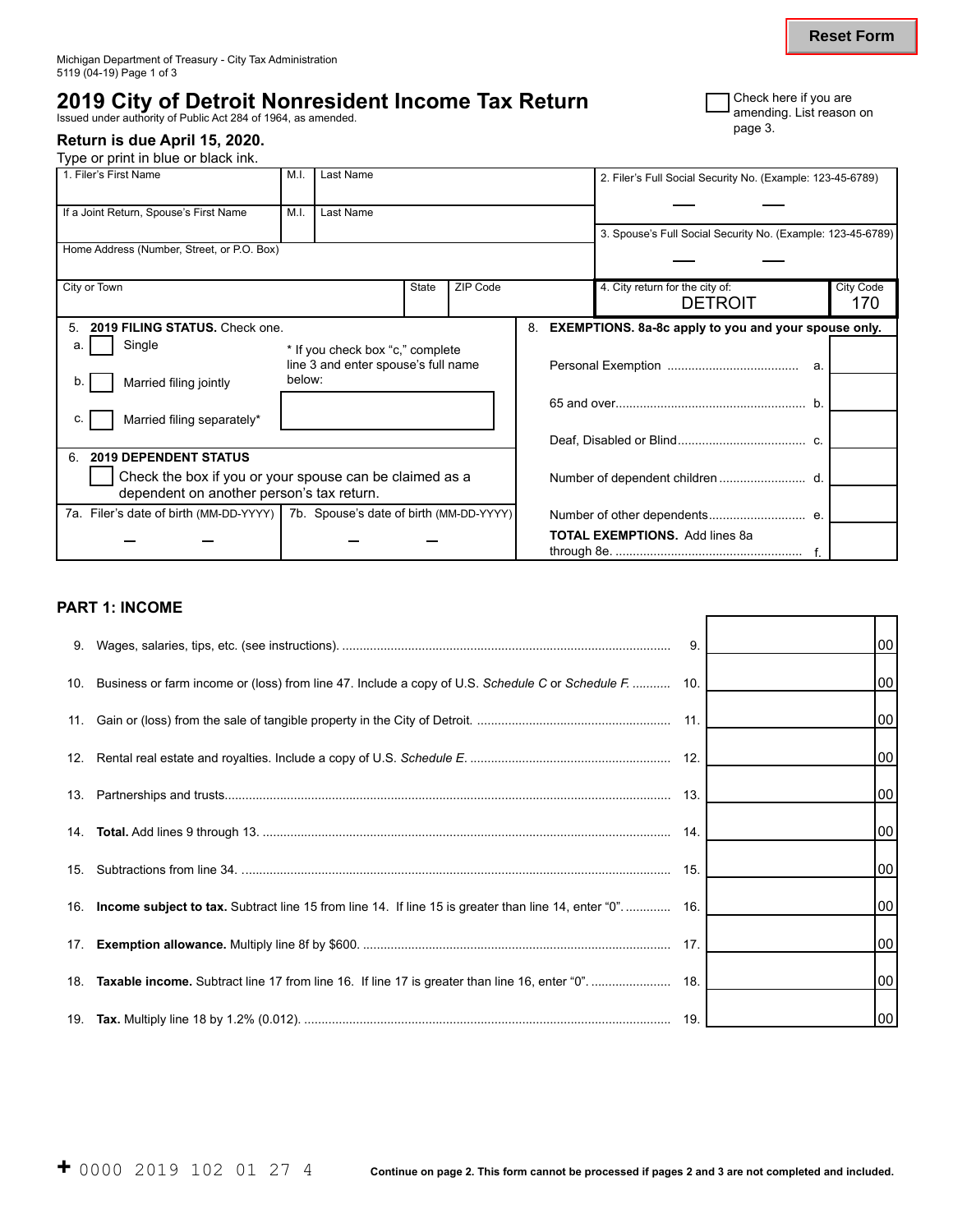# **2019 City of Detroit Nonresident Income Tax Return Concreting List reason**

amending. List reason on ISSUE ON ONE OF THE CONDUCTS ON ISSUED TO THE THEORY OF THE THEORY OF THE THEORY OF T<br>Issued under authority of Public Act 284 of 1964, as amended.

#### **Return is due April 15, 2020.**

Type or print in blue or black ink.

| <b>T</b> Check here if you are    |
|-----------------------------------|
| <b>J</b> amending. List reason on |
| page 3.                           |

| 1. Filer's First Name                                                            | M.I.                                | Last Name                        |       |          |    | 2. Filer's Full Social Security No. (Example: 123-45-6789)  |           |
|----------------------------------------------------------------------------------|-------------------------------------|----------------------------------|-------|----------|----|-------------------------------------------------------------|-----------|
| If a Joint Return, Spouse's First Name                                           | Last Name<br>M.I.                   |                                  |       |          |    |                                                             |           |
|                                                                                  |                                     |                                  |       |          |    | 3. Spouse's Full Social Security No. (Example: 123-45-6789) |           |
| Home Address (Number, Street, or P.O. Box)                                       |                                     |                                  |       |          |    |                                                             |           |
| City or Town                                                                     |                                     |                                  | State | ZIP Code |    | 4. City return for the city of:                             | City Code |
|                                                                                  |                                     |                                  |       |          |    | <b>DETROIT</b>                                              | 170       |
| 2019 FILING STATUS, Check one.<br>5.                                             |                                     |                                  |       |          | 8. | <b>EXEMPTIONS.</b> 8a-8c apply to you and your spouse only. |           |
| Single<br>а.                                                                     |                                     | * If you check box "c," complete |       |          |    |                                                             |           |
|                                                                                  | line 3 and enter spouse's full name |                                  |       |          |    |                                                             |           |
| Married filing jointly                                                           | below:                              |                                  |       |          |    |                                                             |           |
|                                                                                  |                                     |                                  |       |          |    |                                                             |           |
| Married filing separately*<br>C.                                                 |                                     |                                  |       |          |    |                                                             |           |
|                                                                                  |                                     |                                  |       |          |    |                                                             |           |
| <b>2019 DEPENDENT STATUS</b><br>6.                                               |                                     |                                  |       |          |    |                                                             |           |
| Check the box if you or your spouse can be claimed as a                          |                                     |                                  |       |          |    |                                                             |           |
| dependent on another person's tax return.                                        |                                     |                                  |       |          |    |                                                             |           |
| 7a. Filer's date of birth (MM-DD-YYYY)   7b. Spouse's date of birth (MM-DD-YYYY) |                                     |                                  |       |          |    | Number of other dependents e.                               |           |
|                                                                                  |                                     |                                  |       |          |    | <b>TOTAL EXEMPTIONS.</b> Add lines 8a                       |           |
|                                                                                  |                                     |                                  |       |          |    |                                                             |           |

## **PART 1: INCOME**

|                                                                                                             | 9. | 00 <sub>0</sub> |
|-------------------------------------------------------------------------------------------------------------|----|-----------------|
| 10. Business or farm income or (loss) from line 47. Include a copy of U.S. Schedule C or Schedule F.  10.   |    | 00              |
|                                                                                                             |    | 00 <sub>1</sub> |
|                                                                                                             |    | 00 <sub>0</sub> |
|                                                                                                             |    | 00              |
|                                                                                                             |    | 00 <sub>1</sub> |
|                                                                                                             |    | 00 <sub>0</sub> |
| 16. Income subject to tax. Subtract line 15 from line 14. If line 15 is greater than line 14, enter "0" 16. |    | 00 <sub>1</sub> |
|                                                                                                             |    | 00              |
|                                                                                                             |    | 00 <sub>0</sub> |
|                                                                                                             |    | 00 <sub>1</sub> |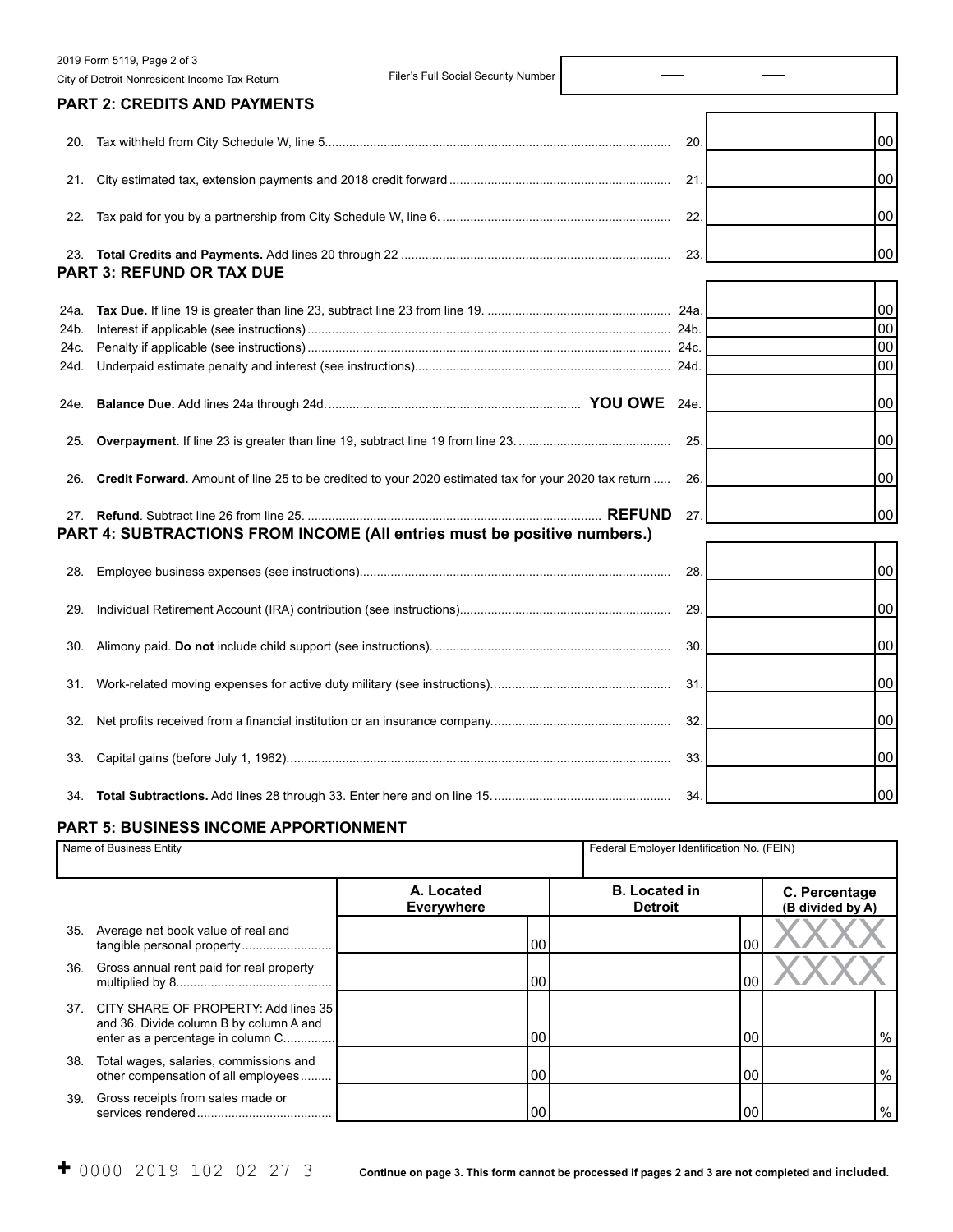|      | 2019 Form 5119, Page 2 of 3                                                                          |     |    |
|------|------------------------------------------------------------------------------------------------------|-----|----|
|      | Filer's Full Social Security Number<br>City of Detroit Nonresident Income Tax Return                 |     |    |
|      | <b>PART 2: CREDITS AND PAYMENTS</b>                                                                  |     |    |
|      |                                                                                                      | 20. | 00 |
| 21.  |                                                                                                      | 21. | 00 |
| 22.  |                                                                                                      | 22  | 00 |
|      | <b>PART 3: REFUND OR TAX DUE</b>                                                                     | 23. | 00 |
| 24a. |                                                                                                      |     | 00 |
| 24b. |                                                                                                      |     | 00 |
| 24c. |                                                                                                      |     | 00 |
| 24d. |                                                                                                      |     | 00 |
| 24e. |                                                                                                      |     | 00 |
| 25.  |                                                                                                      | 25. | 00 |
| 26.  | Credit Forward. Amount of line 25 to be credited to your 2020 estimated tax for your 2020 tax return | 26. | 00 |
| 27.  | <b>REFUND</b><br>PART 4: SUBTRACTIONS FROM INCOME (All entries must be positive numbers.)            | 27. | 00 |
| 28.  |                                                                                                      | 28. | 00 |
|      |                                                                                                      |     |    |
| 29.  |                                                                                                      | 29  | 00 |
| 30.  |                                                                                                      | 30  | 00 |
| 31.  |                                                                                                      | 31. | 00 |
| 32.  |                                                                                                      | 32. | 00 |
|      |                                                                                                      | 33. | 00 |
|      |                                                                                                      |     |    |

### **PART 5: BUSINESS INCOME APPORTIONMENT**

|     | Name of Business Entity                                                                                                  | Federal Employer Identification No. (FEIN) |  |                                        |                                   |
|-----|--------------------------------------------------------------------------------------------------------------------------|--------------------------------------------|--|----------------------------------------|-----------------------------------|
|     |                                                                                                                          | A. Located<br><b>Everywhere</b>            |  | <b>B.</b> Located in<br><b>Detroit</b> | C. Percentage<br>(B divided by A) |
| 35. | Average net book value of real and<br>tangible personal property                                                         | 00                                         |  | 00                                     |                                   |
| 36. | Gross annual rent paid for real property                                                                                 | 00                                         |  | 00                                     |                                   |
|     | 37. CITY SHARE OF PROPERTY: Add lines 35<br>and 36. Divide column B by column A and<br>enter as a percentage in column C | 00                                         |  | 00                                     | %                                 |
| 38. | Total wages, salaries, commissions and<br>other compensation of all employees                                            | 00                                         |  | 00                                     | $\%$                              |
| 39. | Gross receipts from sales made or                                                                                        | 00                                         |  | 00                                     | $\%$                              |

34. **Total Subtractions.** Add lines 28 through 33. Enter here and on line 15. ................................................... 34. 00